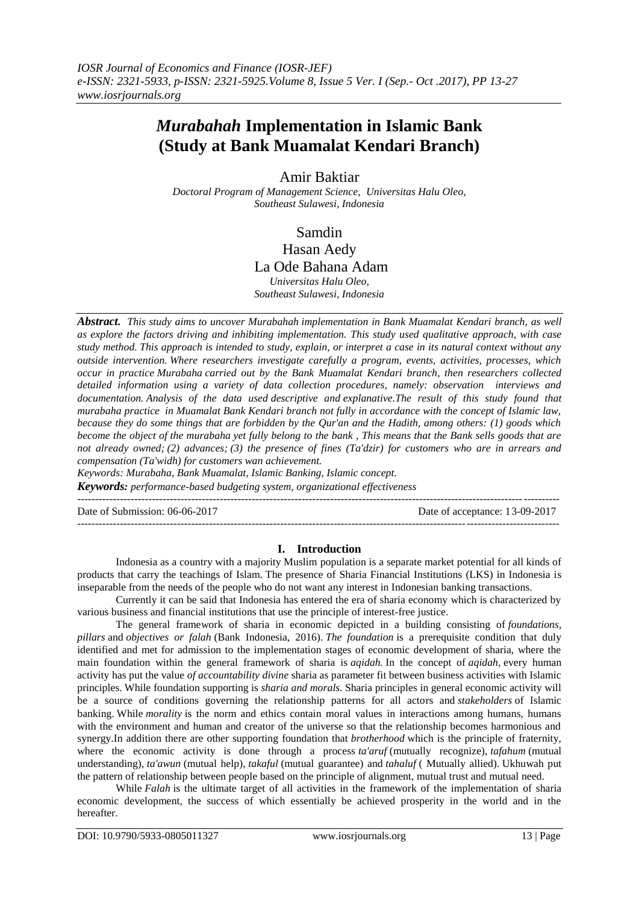# *Murabahah* **Implementation in Islamic Bank (Study at Bank Muamalat Kendari Branch)**

Amir Baktiar

*Doctoral Program of Management Science, Universitas Halu Oleo, Southeast Sulawesi, Indonesia*

Samdin

Hasan Aedy La Ode Bahana Adam

*Universitas Halu Oleo, Southeast Sulawesi, Indonesia*

*Abstract. This study aims to uncover Murabahah implementation in Bank Muamalat Kendari branch, as well as explore the factors driving and inhibiting implementation. This study used qualitative approach, with case study method. This approach is intended to study, explain, or interpret a case in its natural context without any outside intervention. Where researchers investigate carefully a program, events, activities, processes, which occur in practice Murabaha carried out by the Bank Muamalat Kendari branch, then researchers collected detailed information using a variety of data collection procedures, namely: observation interviews and documentation. Analysis of the data used descriptive and explanative.The result of this study found that murabaha practice in Muamalat Bank Kendari branch not fully in accordance with the concept of Islamic law, because they do some things that are forbidden by the Qur'an and the Hadith, among others: (1) goods which become the object of the murabaha yet fully belong to the bank , This means that the Bank sells goods that are not already owned; (2) advances; (3) the presence of fines (Ta'dzir) for customers who are in arrears and compensation (Ta'widh) for customers wan achievement.*

*Keywords: Murabaha, Bank Muamalat, Islamic Banking, Islamic concept. Keywords: performance-based budgeting system, organizational effectiveness* ---------------------------------------------------------------------------------------------------------------------------------------

Date of Submission: 06-06-2017 Date of acceptance: 13-09-2017

---------------------------------------------------------------------------------------------------------------------------------------

# **I. Introduction**

Indonesia as a country with a majority Muslim population is a separate market potential for all kinds of products that carry the teachings of Islam. The presence of Sharia Financial Institutions (LKS) in Indonesia is inseparable from the needs of the people who do not want any interest in Indonesian banking transactions.

Currently it can be said that Indonesia has entered the era of sharia economy which is characterized by various business and financial institutions that use the principle of interest-free justice.

The general framework of sharia in economic depicted in a building consisting of *foundations, pillars* and *objectives or falah* (Bank Indonesia, 2016). *The foundation* is a prerequisite condition that duly identified and met for admission to the implementation stages of economic development of sharia, where the main foundation within the general framework of sharia is *aqidah.* In the concept of *aqidah,* every human activity has put the value *of accountability divine* sharia as parameter fit between business activities with Islamic principles. While foundation supporting is *sharia and morals.* Sharia principles in general economic activity will be a source of conditions governing the relationship patterns for all actors and *stakeholders* of Islamic banking. While *morality* is the norm and ethics contain moral values in interactions among humans, humans with the environment and human and creator of the universe so that the relationship becomes harmonious and synergy.In addition there are other supporting foundation that *brotherhood* which is the principle of fraternity, where the economic activity is done through a process *ta'aruf* (mutually recognize), *tafahum* (mutual understanding), *ta'awun* (mutual help), *takaful* (mutual guarantee) and *tahaluf* ( Mutually allied). Ukhuwah put the pattern of relationship between people based on the principle of alignment, mutual trust and mutual need.

While *Falah* is the ultimate target of all activities in the framework of the implementation of sharia economic development, the success of which essentially be achieved prosperity in the world and in the hereafter.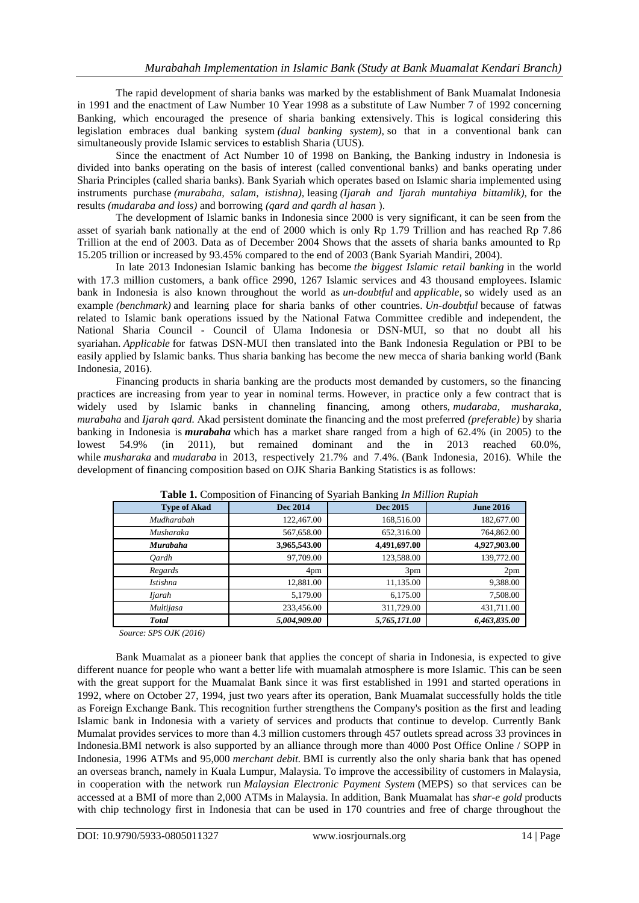The rapid development of sharia banks was marked by the establishment of Bank Muamalat Indonesia in 1991 and the enactment of Law Number 10 Year 1998 as a substitute of Law Number 7 of 1992 concerning Banking, which encouraged the presence of sharia banking extensively. This is logical considering this legislation embraces dual banking system *(dual banking system),* so that in a conventional bank can simultaneously provide Islamic services to establish Sharia (UUS).

Since the enactment of Act Number 10 of 1998 on Banking, the Banking industry in Indonesia is divided into banks operating on the basis of interest (called conventional banks) and banks operating under Sharia Principles (called sharia banks). Bank Syariah which operates based on Islamic sharia implemented using instruments purchase *(murabaha, salam, istishna),* leasing *(Ijarah and Ijarah muntahiya bittamlik),* for the results *(mudaraba and loss)* and borrowing *(qard and qardh al hasan* ).

The development of Islamic banks in Indonesia since 2000 is very significant, it can be seen from the asset of syariah bank nationally at the end of 2000 which is only Rp 1.79 Trillion and has reached Rp 7.86 Trillion at the end of 2003. Data as of December 2004 Shows that the assets of sharia banks amounted to Rp 15.205 trillion or increased by 93.45% compared to the end of 2003 (Bank Syariah Mandiri, 2004).

In late 2013 Indonesian Islamic banking has become *the biggest Islamic retail banking* in the world with 17.3 million customers, a bank office 2990, 1267 Islamic services and 43 thousand employees. Islamic bank in Indonesia is also known throughout the world as *un-doubtful* and *applicable,* so widely used as an example *(benchmark)* and learning place for sharia banks of other countries. *Un-doubtful* because of fatwas related to Islamic bank operations issued by the National Fatwa Committee credible and independent, the National Sharia Council - Council of Ulama Indonesia or DSN-MUI, so that no doubt all his syariahan. *Applicable* for fatwas DSN-MUI then translated into the Bank Indonesia Regulation or PBI to be easily applied by Islamic banks. Thus sharia banking has become the new mecca of sharia banking world (Bank Indonesia, 2016).

Financing products in sharia banking are the products most demanded by customers, so the financing practices are increasing from year to year in nominal terms. However, in practice only a few contract that is widely used by Islamic banks in channeling financing, among others, *mudaraba, musharaka, murabaha* and *Ijarah qard.* Akad persistent dominate the financing and the most preferred *(preferable)* by sharia banking in Indonesia is *murabaha* which has a market share ranged from a high of 62.4% (in 2005) to the lowest 54.9% (in 2011), but remained dominant and the in 2013 reached 60.0%, while *musharaka* and *mudaraba* in 2013, respectively 21.7% and 7.4%. (Bank Indonesia, 2016). While the development of financing composition based on OJK Sharia Banking Statistics is as follows:

| <b>Type of Akad</b> | Dec 2014     | Dec 2015        | <b>June 2016</b> |
|---------------------|--------------|-----------------|------------------|
| Mudharabah          | 122,467.00   | 168,516.00      | 182,677.00       |
| Musharaka           | 567,658.00   | 652,316.00      | 764,862.00       |
| <b>Murabaha</b>     | 3,965,543.00 | 4,491,697.00    | 4,927,903.00     |
| Oardh               | 97,709.00    | 123,588.00      | 139,772.00       |
| Regards             | 4pm          | 3 <sub>pm</sub> | 2pm              |
| <b>Istishna</b>     | 12,881.00    | 11,135.00       | 9,388.00         |
| Ijarah              | 5,179.00     | 6,175.00        | 7,508.00         |
| Multijasa           | 233,456.00   | 311,729.00      | 431,711.00       |
| <b>Total</b>        | 5,004,909.00 | 5,765,171.00    | 6,463,835.00     |

**Table 1.** Composition of Financing of Syariah Banking *In Million Rupiah*

*Source: SPS OJK (2016)*

Bank Muamalat as a pioneer bank that applies the concept of sharia in Indonesia, is expected to give different nuance for people who want a better life with muamalah atmosphere is more Islamic. This can be seen with the great support for the Muamalat Bank since it was first established in 1991 and started operations in 1992, where on October 27, 1994, just two years after its operation, Bank Muamalat successfully holds the title as Foreign Exchange Bank. This recognition further strengthens the Company's position as the first and leading Islamic bank in Indonesia with a variety of services and products that continue to develop. Currently Bank Mumalat provides services to more than 4.3 million customers through 457 outlets spread across 33 provinces in Indonesia.BMI network is also supported by an alliance through more than 4000 Post Office Online / SOPP in Indonesia, 1996 ATMs and 95,000 *merchant debit.* BMI is currently also the only sharia bank that has opened an overseas branch, namely in Kuala Lumpur, Malaysia. To improve the accessibility of customers in Malaysia, in cooperation with the network run *Malaysian Electronic Payment System* (MEPS) so that services can be accessed at a BMI of more than 2,000 ATMs in Malaysia. In addition, Bank Muamalat has *shar-e gold* products with chip technology first in Indonesia that can be used in 170 countries and free of charge throughout the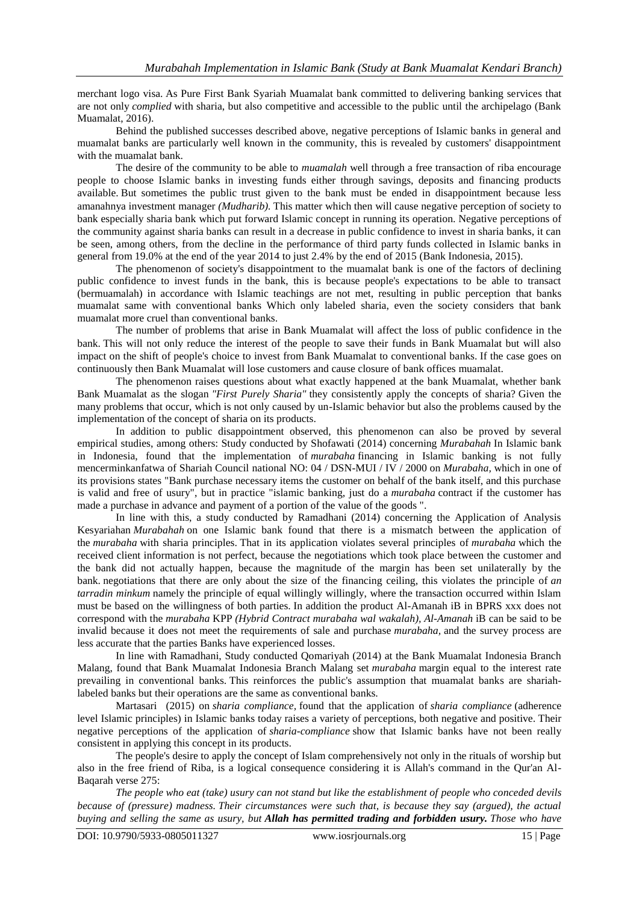merchant logo visa. As Pure First Bank Syariah Muamalat bank committed to delivering banking services that are not only *complied* with sharia, but also competitive and accessible to the public until the archipelago (Bank Muamalat, 2016).

Behind the published successes described above, negative perceptions of Islamic banks in general and muamalat banks are particularly well known in the community, this is revealed by customers' disappointment with the muamalat bank.

The desire of the community to be able to *muamalah* well through a free transaction of riba encourage people to choose Islamic banks in investing funds either through savings, deposits and financing products available. But sometimes the public trust given to the bank must be ended in disappointment because less amanahnya investment manager *(Mudharib).* This matter which then will cause negative perception of society to bank especially sharia bank which put forward Islamic concept in running its operation. Negative perceptions of the community against sharia banks can result in a decrease in public confidence to invest in sharia banks, it can be seen, among others, from the decline in the performance of third party funds collected in Islamic banks in general from 19.0% at the end of the year 2014 to just 2.4% by the end of 2015 (Bank Indonesia, 2015).

The phenomenon of society's disappointment to the muamalat bank is one of the factors of declining public confidence to invest funds in the bank, this is because people's expectations to be able to transact (bermuamalah) in accordance with Islamic teachings are not met, resulting in public perception that banks muamalat same with conventional banks Which only labeled sharia, even the society considers that bank muamalat more cruel than conventional banks.

The number of problems that arise in Bank Muamalat will affect the loss of public confidence in the bank. This will not only reduce the interest of the people to save their funds in Bank Muamalat but will also impact on the shift of people's choice to invest from Bank Muamalat to conventional banks. If the case goes on continuously then Bank Muamalat will lose customers and cause closure of bank offices muamalat.

The phenomenon raises questions about what exactly happened at the bank Muamalat, whether bank Bank Muamalat as the slogan *"First Purely Sharia"* they consistently apply the concepts of sharia? Given the many problems that occur, which is not only caused by un-Islamic behavior but also the problems caused by the implementation of the concept of sharia on its products.

In addition to public disappointment observed, this phenomenon can also be proved by several empirical studies, among others: Study conducted by Shofawati (2014) concerning *Murabahah* In Islamic bank in Indonesia, found that the implementation of *murabaha* financing in Islamic banking is not fully mencerminkanfatwa of Shariah Council national NO: 04 / DSN-MUI / IV / 2000 on *Murabaha,* which in one of its provisions states "Bank purchase necessary items the customer on behalf of the bank itself, and this purchase is valid and free of usury", but in practice "islamic banking, just do a *murabaha* contract if the customer has made a purchase in advance and payment of a portion of the value of the goods ".

In line with this, a study conducted by Ramadhani (2014) concerning the Application of Analysis Kesyariahan *Murabahah* on one Islamic bank found that there is a mismatch between the application of the *murabaha* with sharia principles. That in its application violates several principles of *murabaha* which the received client information is not perfect, because the negotiations which took place between the customer and the bank did not actually happen, because the magnitude of the margin has been set unilaterally by the bank. negotiations that there are only about the size of the financing ceiling, this violates the principle of *an tarradin minkum* namely the principle of equal willingly willingly, where the transaction occurred within Islam must be based on the willingness of both parties. In addition the product Al-Amanah iB in BPRS xxx does not correspond with the *murabaha* KPP *(Hybrid Contract murabaha wal wakalah), Al-Amanah* iB can be said to be invalid because it does not meet the requirements of sale and purchase *murabaha,* and the survey process are less accurate that the parties Banks have experienced losses.

In line with Ramadhani, Study conducted Qomariyah (2014) at the Bank Muamalat Indonesia Branch Malang, found that Bank Muamalat Indonesia Branch Malang set *murabaha* margin equal to the interest rate prevailing in conventional banks. This reinforces the public's assumption that muamalat banks are shariahlabeled banks but their operations are the same as conventional banks.

Martasari (2015) on *sharia compliance,* found that the application of *sharia compliance* (adherence level Islamic principles) in Islamic banks today raises a variety of perceptions, both negative and positive. Their negative perceptions of the application of *sharia-compliance* show that Islamic banks have not been really consistent in applying this concept in its products.

The people's desire to apply the concept of Islam comprehensively not only in the rituals of worship but also in the free friend of Riba, is a logical consequence considering it is Allah's command in the Qur'an Al-Baqarah verse 275:

*The people who eat (take) usury can not stand but like the establishment of people who conceded devils because of (pressure) madness. Their circumstances were such that, is because they say (argued), the actual buying and selling the same as usury, but Allah has permitted trading and forbidden usury. Those who have*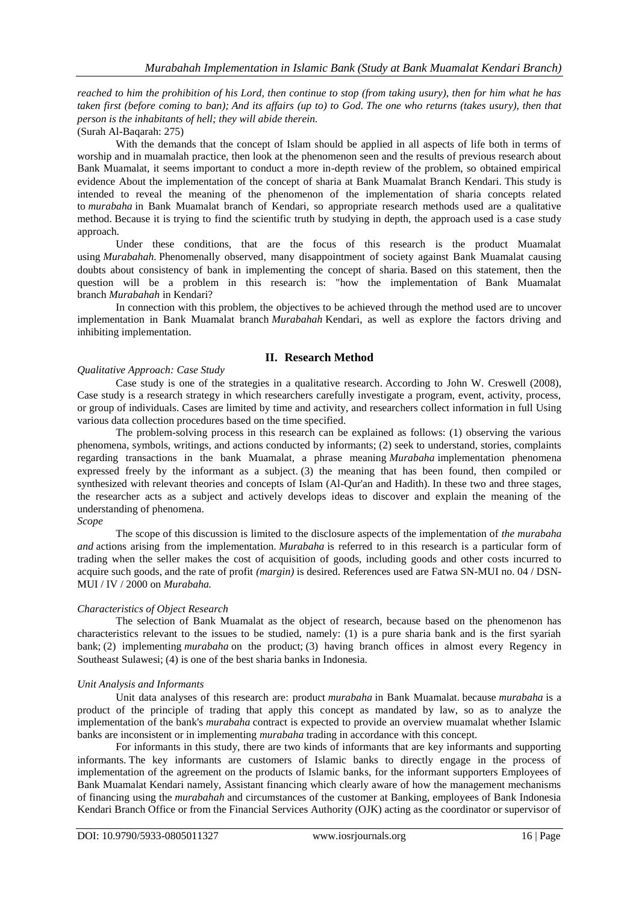*reached to him the prohibition of his Lord, then continue to stop (from taking usury), then for him what he has taken first (before coming to ban); And its affairs (up to) to God. The one who returns (takes usury), then that person is the inhabitants of hell; they will abide therein.*

(Surah Al-Baqarah: 275)

With the demands that the concept of Islam should be applied in all aspects of life both in terms of worship and in muamalah practice, then look at the phenomenon seen and the results of previous research about Bank Muamalat, it seems important to conduct a more in-depth review of the problem, so obtained empirical evidence About the implementation of the concept of sharia at Bank Muamalat Branch Kendari. This study is intended to reveal the meaning of the phenomenon of the implementation of sharia concepts related to *murabaha* in Bank Muamalat branch of Kendari, so appropriate research methods used are a qualitative method. Because it is trying to find the scientific truth by studying in depth, the approach used is a case study approach.

Under these conditions, that are the focus of this research is the product Muamalat using *Murabahah*. Phenomenally observed, many disappointment of society against Bank Muamalat causing doubts about consistency of bank in implementing the concept of sharia. Based on this statement, then the question will be a problem in this research is: "how the implementation of Bank Muamalat branch *Murabahah* in Kendari?

In connection with this problem, the objectives to be achieved through the method used are to uncover implementation in Bank Muamalat branch *Murabahah* Kendari, as well as explore the factors driving and inhibiting implementation.

# **II. Research Method**

#### *Qualitative Approach: Case Study*

Case study is one of the strategies in a qualitative research. According to John W. Creswell (2008), Case study is a research strategy in which researchers carefully investigate a program, event, activity, process, or group of individuals. Cases are limited by time and activity, and researchers collect information in full Using various data collection procedures based on the time specified.

The problem-solving process in this research can be explained as follows: (1) observing the various phenomena, symbols, writings, and actions conducted by informants; (2) seek to understand, stories, complaints regarding transactions in the bank Muamalat, a phrase meaning *Murabaha* implementation phenomena expressed freely by the informant as a subject. (3) the meaning that has been found, then compiled or synthesized with relevant theories and concepts of Islam (Al-Qur'an and Hadith). In these two and three stages, the researcher acts as a subject and actively develops ideas to discover and explain the meaning of the understanding of phenomena.

### *Scope*

The scope of this discussion is limited to the disclosure aspects of the implementation of *the murabaha and* actions arising from the implementation. *Murabaha* is referred to in this research is a particular form of trading when the seller makes the cost of acquisition of goods, including goods and other costs incurred to acquire such goods, and the rate of profit *(margin)* is desired. References used are Fatwa SN-MUI no. 04 / DSN-MUI / IV / 2000 on *Murabaha.*

### *Characteristics of Object Research*

The selection of Bank Muamalat as the object of research, because based on the phenomenon has characteristics relevant to the issues to be studied, namely: (1) is a pure sharia bank and is the first syariah bank; (2) implementing *murabaha* on the product; (3) having branch offices in almost every Regency in Southeast Sulawesi; (4) is one of the best sharia banks in Indonesia.

### *Unit Analysis and Informants*

Unit data analyses of this research are: product *murabaha* in Bank Muamalat. because *murabaha* is a product of the principle of trading that apply this concept as mandated by law, so as to analyze the implementation of the bank's *murabaha* contract is expected to provide an overview muamalat whether Islamic banks are inconsistent or in implementing *murabaha* trading in accordance with this concept.

For informants in this study, there are two kinds of informants that are key informants and supporting informants. The key informants are customers of Islamic banks to directly engage in the process of implementation of the agreement on the products of Islamic banks, for the informant supporters Employees of Bank Muamalat Kendari namely, Assistant financing which clearly aware of how the management mechanisms of financing using the *murabahah* and circumstances of the customer at Banking, employees of Bank Indonesia Kendari Branch Office or from the Financial Services Authority (OJK) acting as the coordinator or supervisor of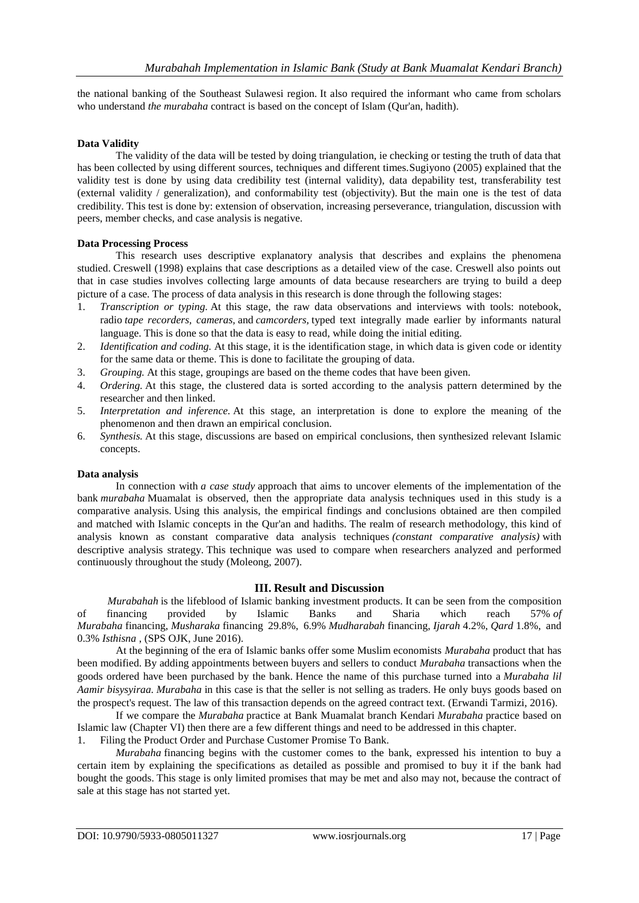the national banking of the Southeast Sulawesi region. It also required the informant who came from scholars who understand *the murabaha* contract is based on the concept of Islam (Our'an, hadith).

### **Data Validity**

The validity of the data will be tested by doing triangulation, ie checking or testing the truth of data that has been collected by using different sources, techniques and different times.Sugiyono (2005) explained that the validity test is done by using data credibility test (internal validity), data depability test, transferability test (external validity / generalization), and conformability test (objectivity). But the main one is the test of data credibility. This test is done by: extension of observation, increasing perseverance, triangulation, discussion with peers, member checks, and case analysis is negative.

### **Data Processing Process**

This research uses descriptive explanatory analysis that describes and explains the phenomena studied. Creswell (1998) explains that case descriptions as a detailed view of the case. Creswell also points out that in case studies involves collecting large amounts of data because researchers are trying to build a deep picture of a case. The process of data analysis in this research is done through the following stages:

- 1. *Transcription or typing.* At this stage, the raw data observations and interviews with tools: notebook, radio *tape recorders, cameras,* and *camcorders,* typed text integrally made earlier by informants natural language. This is done so that the data is easy to read, while doing the initial editing.
- 2. *Identification and coding.* At this stage, it is the identification stage, in which data is given code or identity for the same data or theme. This is done to facilitate the grouping of data.
- 3. *Grouping.* At this stage, groupings are based on the theme codes that have been given.
- 4. *Ordering.* At this stage, the clustered data is sorted according to the analysis pattern determined by the researcher and then linked.
- 5. *Interpretation and inference.* At this stage, an interpretation is done to explore the meaning of the phenomenon and then drawn an empirical conclusion.
- 6. *Synthesis.* At this stage, discussions are based on empirical conclusions, then synthesized relevant Islamic concepts.

### **Data analysis**

In connection with *a case study* approach that aims to uncover elements of the implementation of the bank *murabaha* Muamalat is observed, then the appropriate data analysis techniques used in this study is a comparative analysis. Using this analysis, the empirical findings and conclusions obtained are then compiled and matched with Islamic concepts in the Qur'an and hadiths. The realm of research methodology, this kind of analysis known as constant comparative data analysis techniques *(constant comparative analysis)* with descriptive analysis strategy. This technique was used to compare when researchers analyzed and performed continuously throughout the study (Moleong, 2007).

### **III. Result and Discussion**

*Murabahah* is the lifeblood of Islamic banking investment products. It can be seen from the composition of financing provided by Islamic Banks and Sharia which reach 57% *of Murabaha* financing, *Musharaka* financing 29.8%, 6.9% *Mudharabah* financing, *Ijarah* 4.2%, *Qard* 1.8%, and 0.3% *Isthisna* , (SPS OJK, June 2016).

At the beginning of the era of Islamic banks offer some Muslim economists *Murabaha* product that has been modified. By adding appointments between buyers and sellers to conduct *Murabaha* transactions when the goods ordered have been purchased by the bank. Hence the name of this purchase turned into a *Murabaha lil Aamir bisysyiraa. Murabaha* in this case is that the seller is not selling as traders. He only buys goods based on the prospect's request. The law of this transaction depends on the agreed contract text. (Erwandi Tarmizi, 2016).

If we compare the *Murabaha* practice at Bank Muamalat branch Kendari *Murabaha* practice based on Islamic law (Chapter VI) then there are a few different things and need to be addressed in this chapter.

1. Filing the Product Order and Purchase Customer Promise To Bank.

*Murabaha* financing begins with the customer comes to the bank, expressed his intention to buy a certain item by explaining the specifications as detailed as possible and promised to buy it if the bank had bought the goods. This stage is only limited promises that may be met and also may not, because the contract of sale at this stage has not started yet.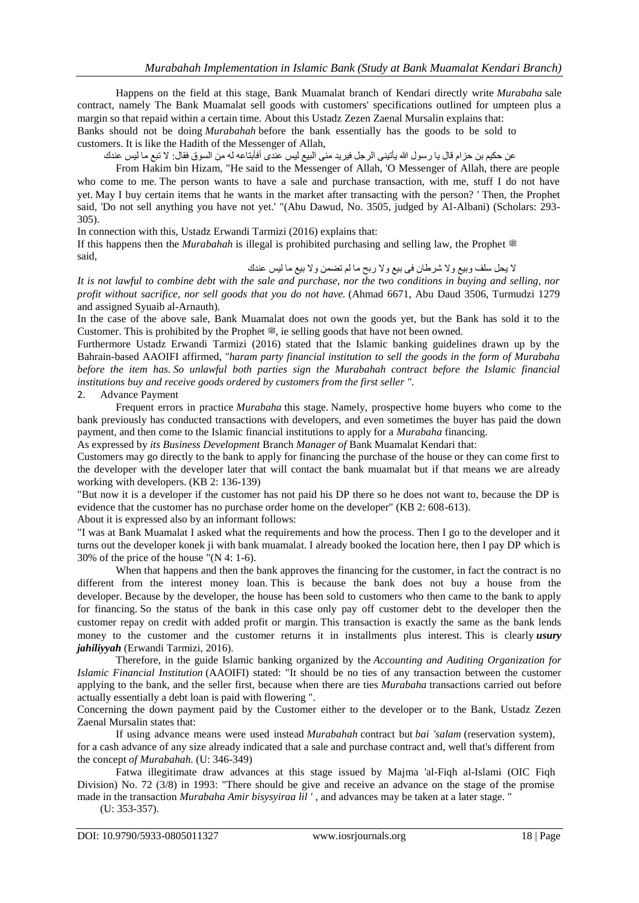Happens on the field at this stage, Bank Muamalat branch of Kendari directly write *Murabaha* sale contract, namely The Bank Muamalat sell goods with customers' specifications outlined for umpteen plus a margin so that repaid within a certain time. About this Ustadz Zezen Zaenal Mursalin explains that:

Banks should not be doing *Murabahah* before the bank essentially has the goods to be sold to customers. It is like the Hadith of the Messenger of Allah,

عن حكيم بن حزام قال يا رسول الله يأتيني الرجل فيريد منى البيع ليس عندى أفأبتاعه له من السوق فقال: لا تبع ما ليس عندك

From Hakim bin Hizam, "He said to the Messenger of Allah, 'O Messenger of Allah, there are people who come to me. The person wants to have a sale and purchase transaction, with me, stuff I do not have yet. May I buy certain items that he wants in the market after transacting with the person? ' Then, the Prophet said, 'Do not sell anything you have not yet.' "(Abu Dawud, No. 3505, judged by Al-Albani) (Scholars: 293- 305).

In connection with this, Ustadz Erwandi Tarmizi (2016) explains that:

If this happens then the *Murabahah* is illegal is prohibited purchasing and selling law, the Prophet said,

### ال يحل سلف وبيع وال شرطان فى بيع وال ربح ما لم تضمن وال بيع ما ليس عندك

*It is not lawful to combine debt with the sale and purchase, nor the two conditions in buying and selling, nor profit without sacrifice, nor sell goods that you do not have.* (Ahmad 6671, Abu Daud 3506, Turmudzi 1279 and assigned Syuaib al-Arnauth).

In the case of the above sale, Bank Muamalat does not own the goods yet, but the Bank has sold it to the Customer. This is prohibited by the Prophet  $\ddot{\mathcal{Z}}$ , ie selling goods that have not been owned.

Furthermore Ustadz Erwandi Tarmizi (2016) stated that the Islamic banking guidelines drawn up by the Bahrain-based AAOIFI affirmed, *"haram party financial institution to sell the goods in the form of Murabaha before the item has. So unlawful both parties sign the Murabahah contract before the Islamic financial institutions buy and receive goods ordered by customers from the first seller ".*

# 2. Advance Payment

Frequent errors in practice *Murabaha* this stage. Namely, prospective home buyers who come to the bank previously has conducted transactions with developers, and even sometimes the buyer has paid the down payment, and then come to the Islamic financial institutions to apply for a *Murabaha* financing.

As expressed by *its Business Development* Branch *Manager of* Bank Muamalat Kendari that:

Customers may go directly to the bank to apply for financing the purchase of the house or they can come first to the developer with the developer later that will contact the bank muamalat but if that means we are already working with developers. (KB 2: 136-139)

"But now it is a developer if the customer has not paid his DP there so he does not want to, because the DP is evidence that the customer has no purchase order home on the developer" (KB 2: 608-613).

About it is expressed also by an informant follows:

"I was at Bank Muamalat I asked what the requirements and how the process. Then I go to the developer and it turns out the developer konek ji with bank muamalat. I already booked the location here, then I pay DP which is 30% of the price of the house "(N 4: 1-6).

When that happens and then the bank approves the financing for the customer, in fact the contract is no different from the interest money loan. This is because the bank does not buy a house from the developer. Because by the developer, the house has been sold to customers who then came to the bank to apply for financing. So the status of the bank in this case only pay off customer debt to the developer then the customer repay on credit with added profit or margin. This transaction is exactly the same as the bank lends money to the customer and the customer returns it in installments plus interest. This is clearly *usury jahiliyyah* (Erwandi Tarmizi, 2016).

Therefore, in the guide Islamic banking organized by the *Accounting and Auditing Organization for Islamic Financial Institution* (AAOIFI) stated: "It should be no ties of any transaction between the customer applying to the bank, and the seller first, because when there are ties *Murabaha* transactions carried out before actually essentially a debt loan is paid with flowering ".

Concerning the down payment paid by the Customer either to the developer or to the Bank, Ustadz Zezen Zaenal Mursalin states that:

If using advance means were used instead *Murabahah* contract but *bai 'salam* (reservation system), for a cash advance of any size already indicated that a sale and purchase contract and, well that's different from the concept *of Murabahah.* (U: 346-349)

Fatwa illegitimate draw advances at this stage issued by Majma 'al-Fiqh al-Islami (OIC Fiqh Division) No. 72 (3/8) in 1993: "There should be give and receive an advance on the stage of the promise made in the transaction *Murabaha Amir bisysyiraa lil '* , and advances may be taken at a later stage. "

(U: 353-357).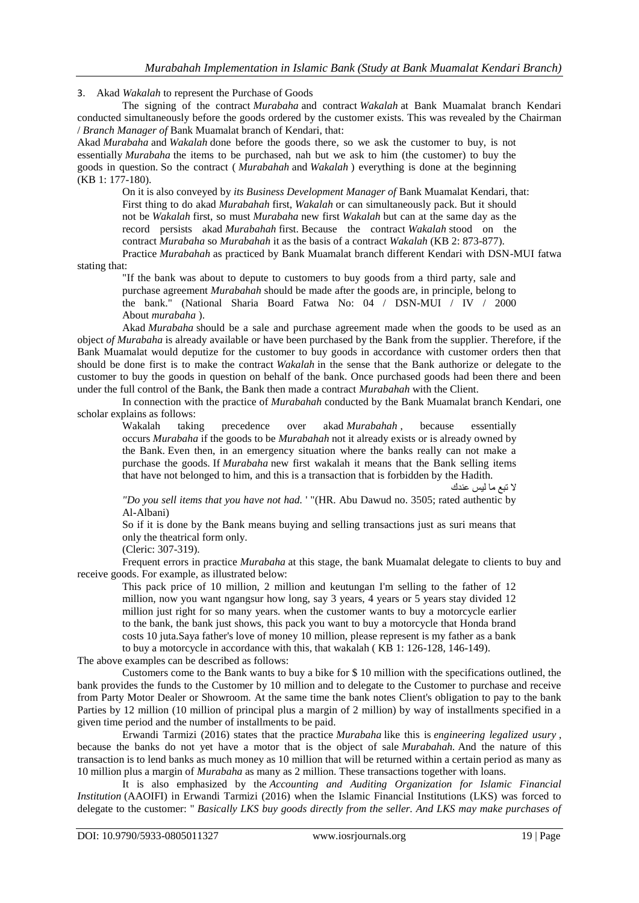3. Akad *Wakalah* to represent the Purchase of Goods

The signing of the contract *Murabaha* and contract *Wakalah* at Bank Muamalat branch Kendari conducted simultaneously before the goods ordered by the customer exists. This was revealed by the Chairman / *Branch Manager of* Bank Muamalat branch of Kendari, that:

Akad *Murabaha* and *Wakalah* done before the goods there, so we ask the customer to buy, is not essentially *Murabaha* the items to be purchased, nah but we ask to him (the customer) to buy the goods in question. So the contract ( *Murabahah* and *Wakalah* ) everything is done at the beginning (KB 1: 177-180).

On it is also conveyed by *its Business Development Manager of* Bank Muamalat Kendari, that: First thing to do akad *Murabahah* first, *Wakalah* or can simultaneously pack. But it should not be *Wakalah* first, so must *Murabaha* new first *Wakalah* but can at the same day as the record persists akad *Murabahah* first. Because the contract *Wakalah* stood on the contract *Murabaha* so *Murabahah* it as the basis of a contract *Wakalah* (KB 2: 873-877).

Practice *Murabahah* as practiced by Bank Muamalat branch different Kendari with DSN-MUI fatwa stating that:

"If the bank was about to depute to customers to buy goods from a third party, sale and purchase agreement *Murabahah* should be made after the goods are, in principle, belong to the bank." (National Sharia Board Fatwa No: 04 / DSN-MUI / IV / 2000 About *murabaha* ).

Akad *Murabaha* should be a sale and purchase agreement made when the goods to be used as an object *of Murabaha* is already available or have been purchased by the Bank from the supplier. Therefore, if the Bank Muamalat would deputize for the customer to buy goods in accordance with customer orders then that should be done first is to make the contract *Wakalah* in the sense that the Bank authorize or delegate to the customer to buy the goods in question on behalf of the bank. Once purchased goods had been there and been under the full control of the Bank, the Bank then made a contract *Murabahah* with the Client.

In connection with the practice of *Murabahah* conducted by the Bank Muamalat branch Kendari, one scholar explains as follows:

Wakalah taking precedence over akad *Murabahah*, because essentially occurs *Murabaha* if the goods to be *Murabahah* not it already exists or is already owned by the Bank. Even then, in an emergency situation where the banks really can not make a purchase the goods. If *Murabaha* new first wakalah it means that the Bank selling items that have not belonged to him, and this is a transaction that is forbidden by the Hadith.

ال تبع ما ليس عندك

*"Do you sell items that you have not had.* ' "(HR. Abu Dawud no. 3505; rated authentic by Al-Albani)

So if it is done by the Bank means buying and selling transactions just as suri means that only the theatrical form only.

(Cleric: 307-319).

Frequent errors in practice *Murabaha* at this stage, the bank Muamalat delegate to clients to buy and receive goods. For example, as illustrated below:

This pack price of 10 million, 2 million and keutungan I'm selling to the father of 12 million, now you want ngangsur how long, say 3 years, 4 years or 5 years stay divided 12 million just right for so many years. when the customer wants to buy a motorcycle earlier to the bank, the bank just shows, this pack you want to buy a motorcycle that Honda brand costs 10 juta.Saya father's love of money 10 million, please represent is my father as a bank to buy a motorcycle in accordance with this, that wakalah ( KB 1: 126-128, 146-149).

The above examples can be described as follows:

Customers come to the Bank wants to buy a bike for \$ 10 million with the specifications outlined, the bank provides the funds to the Customer by 10 million and to delegate to the Customer to purchase and receive from Party Motor Dealer or Showroom. At the same time the bank notes Client's obligation to pay to the bank Parties by 12 million (10 million of principal plus a margin of 2 million) by way of installments specified in a given time period and the number of installments to be paid.

Erwandi Tarmizi (2016) states that the practice *Murabaha* like this is *engineering legalized usury* , because the banks do not yet have a motor that is the object of sale *Murabahah.* And the nature of this transaction is to lend banks as much money as 10 million that will be returned within a certain period as many as 10 million plus a margin of *Murabaha* as many as 2 million. These transactions together with loans.

It is also emphasized by the *Accounting and Auditing Organization for Islamic Financial Institution* (AAOIFI) in Erwandi Tarmizi (2016) when the Islamic Financial Institutions (LKS) was forced to delegate to the customer: " *Basically LKS buy goods directly from the seller. And LKS may make purchases of*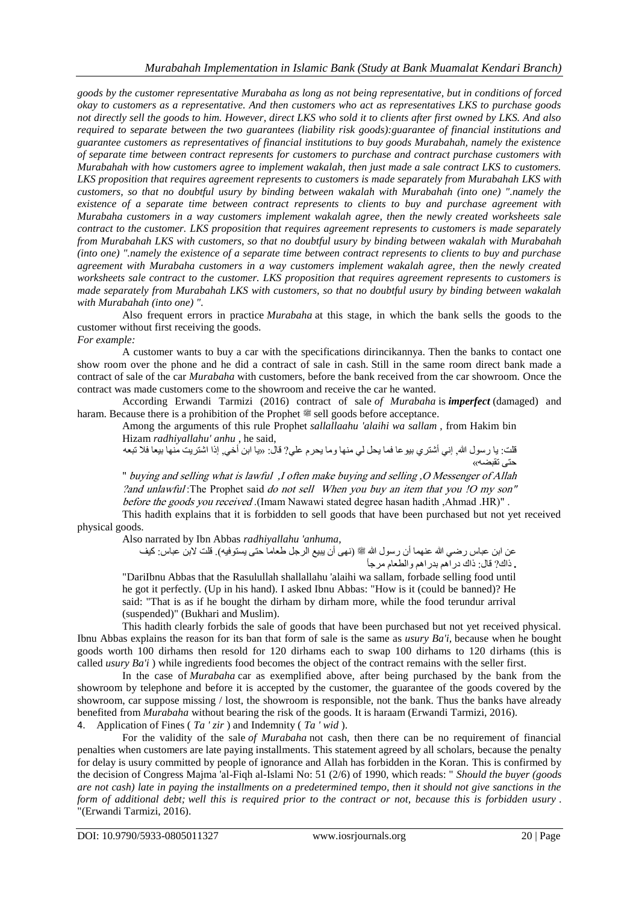*goods by the customer representative Murabaha as long as not being representative, but in conditions of forced okay to customers as a representative. And then customers who act as representatives LKS to purchase goods not directly sell the goods to him. However, direct LKS who sold it to clients after first owned by LKS. And also required to separate between the two guarantees (liability risk goods):guarantee of financial institutions and guarantee customers as representatives of financial institutions to buy goods Murabahah, namely the existence of separate time between contract represents for customers to purchase and contract purchase customers with Murabahah with how customers agree to implement wakalah, then just made a sale contract LKS to customers. LKS proposition that requires agreement represents to customers is made separately from Murabahah LKS with customers, so that no doubtful usury by binding between wakalah with Murabahah (into one) ".namely the existence of a separate time between contract represents to clients to buy and purchase agreement with Murabaha customers in a way customers implement wakalah agree, then the newly created worksheets sale contract to the customer. LKS proposition that requires agreement represents to customers is made separately from Murabahah LKS with customers, so that no doubtful usury by binding between wakalah with Murabahah (into one) ".namely the existence of a separate time between contract represents to clients to buy and purchase agreement with Murabaha customers in a way customers implement wakalah agree, then the newly created worksheets sale contract to the customer. LKS proposition that requires agreement represents to customers is made separately from Murabahah LKS with customers, so that no doubtful usury by binding between wakalah with Murabahah (into one) ".*

Also frequent errors in practice *Murabaha* at this stage, in which the bank sells the goods to the customer without first receiving the goods. *For example:*

A customer wants to buy a car with the specifications dirincikannya. Then the banks to contact one show room over the phone and he did a contract of sale in cash. Still in the same room direct bank made a contract of sale of the car *Murabaha* with customers, before the bank received from the car showroom. Once the contract was made customers come to the showroom and receive the car he wanted.

According Erwandi Tarmizi (2016) contract of sale *of Murabaha* is *imperfect* (damaged) and haram. Because there is a prohibition of the Prophet  $\mathscr{E}$  sell goods before acceptance.

Among the arguments of this rule Prophet *sallallaahu 'alaihi wa sallam* , from Hakim bin Hizam *radhiyallahu' anhu* , he said,

قلت: يا رسول الله, إني أشتري بيو عا فما يحل لي منها وما يحرم علي? قال: «يا ابن أخي, إذا اشتريت منها بيعا فلا تبعه حتى تقبضه«

" buying and selling what is lawful ,I often make buying and selling, O Messenger of Allah ? and unlawful: The Prophet said do not sell When you buy an item that you ! O my son"  $before$  the goods you received .(Imam Nawawi stated degree hasan hadith, Ahmad .HR)".

This hadith explains that it is forbidden to sell goods that have been purchased but not yet received physical goods.

Also narrated by Ibn Abbas *radhiyallahu 'anhuma,*

عن ابن عباس رضـي الله عنهما أن رسول الله ﷺ (نهى أن يبيع الرجل طعاما حتى يستوفيه)<sub>.</sub> قلت لابن عباس: كيف **.** ذاك? قال: ذاك دراهم بدراهم والطعام مرجأ

"DariIbnu Abbas that the Rasulullah shallallahu 'alaihi wa sallam, forbade selling food until he got it perfectly. (Up in his hand). I asked Ibnu Abbas: "How is it (could be banned)? He said: "That is as if he bought the dirham by dirham more, while the food terundur arrival (suspended)" (Bukhari and Muslim).

This hadith clearly forbids the sale of goods that have been purchased but not yet received physical. Ibnu Abbas explains the reason for its ban that form of sale is the same as *usury Ba'i,* because when he bought goods worth 100 dirhams then resold for 120 dirhams each to swap 100 dirhams to 120 dirhams (this is called *usury Ba'i* ) while ingredients food becomes the object of the contract remains with the seller first.

In the case of *Murabaha* car as exemplified above, after being purchased by the bank from the showroom by telephone and before it is accepted by the customer, the guarantee of the goods covered by the showroom, car suppose missing / lost, the showroom is responsible, not the bank. Thus the banks have already benefited from *Murabaha* without bearing the risk of the goods. It is haraam (Erwandi Tarmizi, 2016). 4. Application of Fines ( *Ta ' zir* ) and Indemnity ( *Ta ' wid* ).

For the validity of the sale *of Murabaha* not cash, then there can be no requirement of financial penalties when customers are late paying installments. This statement agreed by all scholars, because the penalty for delay is usury committed by people of ignorance and Allah has forbidden in the Koran. This is confirmed by the decision of Congress Majma 'al-Fiqh al-Islami No: 51 (2/6) of 1990, which reads: " *Should the buyer (goods are not cash) late in paying the installments on a predetermined tempo, then it should not give sanctions in the form of additional debt; well this is required prior to the contract or not, because this is forbidden usury* . "(Erwandi Tarmizi, 2016).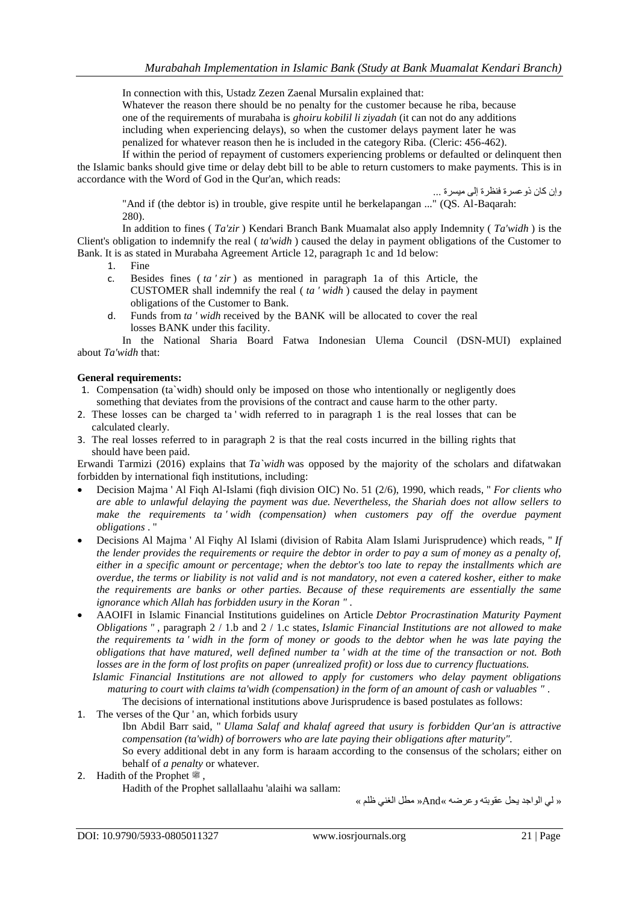In connection with this, Ustadz Zezen Zaenal Mursalin explained that:

Whatever the reason there should be no penalty for the customer because he riba, because one of the requirements of murabaha is *ghoiru kobilil li ziyadah* (it can not do any additions including when experiencing delays), so when the customer delays payment later he was penalized for whatever reason then he is included in the category Riba. (Cleric: 456-462).

If within the period of repayment of customers experiencing problems or defaulted or delinquent then the Islamic banks should give time or delay debt bill to be able to return customers to make payments. This is in accordance with the Word of God in the Qur'an, which reads:

وإن كان ذوعسرة فنظرة إلى ميسرة ...

"And if (the debtor is) in trouble, give respite until he berkelapangan ..." (QS. Al-Baqarah: 280).

In addition to fines ( *Ta'zir* ) Kendari Branch Bank Muamalat also apply Indemnity ( *Ta'widh* ) is the Client's obligation to indemnify the real ( *ta'widh* ) caused the delay in payment obligations of the Customer to Bank. It is as stated in Murabaha Agreement Article 12, paragraph 1c and 1d below:

- 1. Fine
- c. Besides fines ( *ta ' zir* ) as mentioned in paragraph 1a of this Article, the CUSTOMER shall indemnify the real ( *ta ' widh* ) caused the delay in payment obligations of the Customer to Bank.
- d. Funds from *ta ' widh* received by the BANK will be allocated to cover the real losses BANK under this facility.

In the National Sharia Board Fatwa Indonesian Ulema Council (DSN-MUI) explained about *Ta'widh* that:

### **General requirements:**

- 1. Compensation (ta`widh) should only be imposed on those who intentionally or negligently does something that deviates from the provisions of the contract and cause harm to the other party.
- 2. These losses can be charged ta ' widh referred to in paragraph 1 is the real losses that can be calculated clearly.
- 3. The real losses referred to in paragraph 2 is that the real costs incurred in the billing rights that should have been paid.

Erwandi Tarmizi (2016) explains that *Ta`widh* was opposed by the majority of the scholars and difatwakan forbidden by international fiqh institutions, including:

- Decision Majma ' Al Fiqh Al-Islami (fiqh division OIC) No. 51 (2/6), 1990, which reads, " *For clients who are able to unlawful delaying the payment was due. Nevertheless, the Shariah does not allow sellers to make the requirements ta ' widh (compensation) when customers pay off the overdue payment obligations* . "
- Decisions Al Majma ' Al Fiqhy Al Islami (division of Rabita Alam Islami Jurisprudence) which reads, " *If the lender provides the requirements or require the debtor in order to pay a sum of money as a penalty of, either in a specific amount or percentage; when the debtor's too late to repay the installments which are overdue, the terms or liability is not valid and is not mandatory, not even a catered kosher, either to make the requirements are banks or other parties. Because of these requirements are essentially the same ignorance which Allah has forbidden usury in the Koran " .*
- AAOIFI in Islamic Financial Institutions guidelines on Article *Debtor Procrastination Maturity Payment Obligations "* , paragraph 2 / 1.b and 2 / 1.c states, *Islamic Financial Institutions are not allowed to make the requirements ta ' widh in the form of money or goods to the debtor when he was late paying the obligations that have matured, well defined number ta ' widh at the time of the transaction or not. Both losses are in the form of lost profits on paper (unrealized profit) or loss due to currency fluctuations.*
	- *Islamic Financial Institutions are not allowed to apply for customers who delay payment obligations maturing to court with claims ta'widh (compensation) in the form of an amount of cash or valuables "* . The decisions of international institutions above Jurisprudence is based postulates as follows:
- 1. The verses of the Qur ' an, which forbids usury

Ibn Abdil Barr said, " *Ulama Salaf and khalaf agreed that usury is forbidden Qur'an is attractive compensation (ta'widh) of borrowers who are late paying their obligations after maturity".* So every additional debt in any form is haraam according to the consensus of the scholars; either on behalf of *a penalty* or whatever.

2. Hadith of the Prophet  $\ddot{\mathcal{F}}$ ,

Hadith of the Prophet sallallaahu 'alaihi wa sallam:

« لي الواجد يحل عقوبته وعرضه »And »مطل الغني ظلم »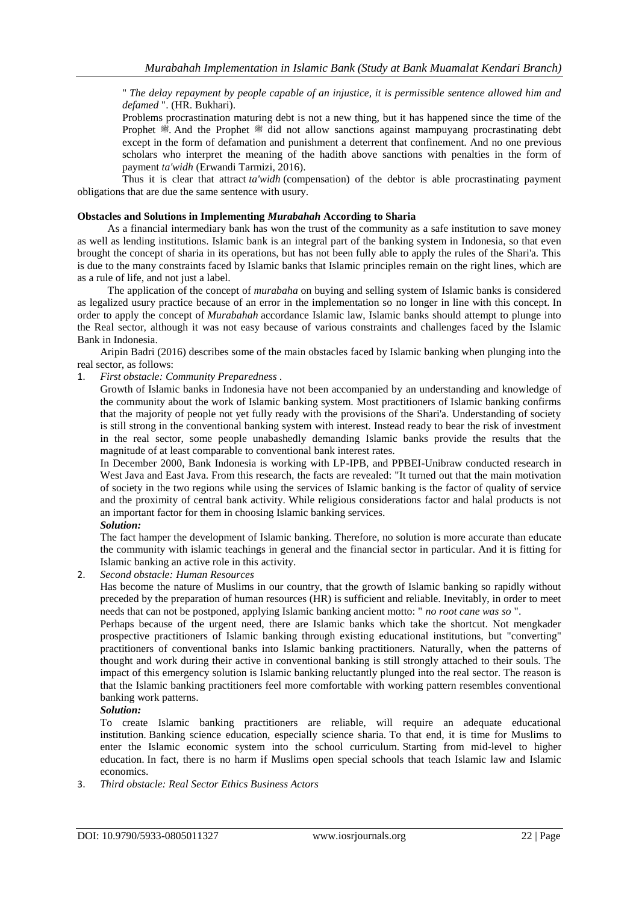" *The delay repayment by people capable of an injustice, it is permissible sentence allowed him and defamed* ". (HR. Bukhari).

Problems procrastination maturing debt is not a new thing, but it has happened since the time of the Prophet  $\ddot{\mathcal{F}}$ . And the Prophet  $\ddot{\mathcal{F}}$  did not allow sanctions against mampuyang procrastinating debt except in the form of defamation and punishment a deterrent that confinement. And no one previous scholars who interpret the meaning of the hadith above sanctions with penalties in the form of payment *ta'widh* (Erwandi Tarmizi, 2016).

Thus it is clear that attract *ta'widh* (compensation) of the debtor is able procrastinating payment obligations that are due the same sentence with usury.

### **Obstacles and Solutions in Implementing** *Murabahah* **According to Sharia**

As a financial intermediary bank has won the trust of the community as a safe institution to save money as well as lending institutions. Islamic bank is an integral part of the banking system in Indonesia, so that even brought the concept of sharia in its operations, but has not been fully able to apply the rules of the Shari'a. This is due to the many constraints faced by Islamic banks that Islamic principles remain on the right lines, which are as a rule of life, and not just a label.

The application of the concept of *murabaha* on buying and selling system of Islamic banks is considered as legalized usury practice because of an error in the implementation so no longer in line with this concept. In order to apply the concept of *Murabahah* accordance Islamic law, Islamic banks should attempt to plunge into the Real sector, although it was not easy because of various constraints and challenges faced by the Islamic Bank in Indonesia.

Aripin Badri (2016) describes some of the main obstacles faced by Islamic banking when plunging into the real sector, as follows:

1. *First obstacle: Community Preparedness .*

Growth of Islamic banks in Indonesia have not been accompanied by an understanding and knowledge of the community about the work of Islamic banking system. Most practitioners of Islamic banking confirms that the majority of people not yet fully ready with the provisions of the Shari'a. Understanding of society is still strong in the conventional banking system with interest. Instead ready to bear the risk of investment in the real sector, some people unabashedly demanding Islamic banks provide the results that the magnitude of at least comparable to conventional bank interest rates.

In December 2000, Bank Indonesia is working with LP-IPB, and PPBEI-Unibraw conducted research in West Java and East Java. From this research, the facts are revealed: "It turned out that the main motivation of society in the two regions while using the services of Islamic banking is the factor of quality of service and the proximity of central bank activity. While religious considerations factor and halal products is not an important factor for them in choosing Islamic banking services.

# *Solution:*

The fact hamper the development of Islamic banking. Therefore, no solution is more accurate than educate the community with islamic teachings in general and the financial sector in particular. And it is fitting for Islamic banking an active role in this activity.

2. *Second obstacle: Human Resources*

Has become the nature of Muslims in our country, that the growth of Islamic banking so rapidly without preceded by the preparation of human resources (HR) is sufficient and reliable. Inevitably, in order to meet needs that can not be postponed, applying Islamic banking ancient motto: " *no root cane was so* ".

Perhaps because of the urgent need, there are Islamic banks which take the shortcut. Not mengkader prospective practitioners of Islamic banking through existing educational institutions, but "converting" practitioners of conventional banks into Islamic banking practitioners. Naturally, when the patterns of thought and work during their active in conventional banking is still strongly attached to their souls. The impact of this emergency solution is Islamic banking reluctantly plunged into the real sector. The reason is that the Islamic banking practitioners feel more comfortable with working pattern resembles conventional banking work patterns.

*Solution:*

To create Islamic banking practitioners are reliable, will require an adequate educational institution. Banking science education, especially science sharia. To that end, it is time for Muslims to enter the Islamic economic system into the school curriculum. Starting from mid-level to higher education. In fact, there is no harm if Muslims open special schools that teach Islamic law and Islamic economics.

3. *Third obstacle: Real Sector Ethics Business Actors*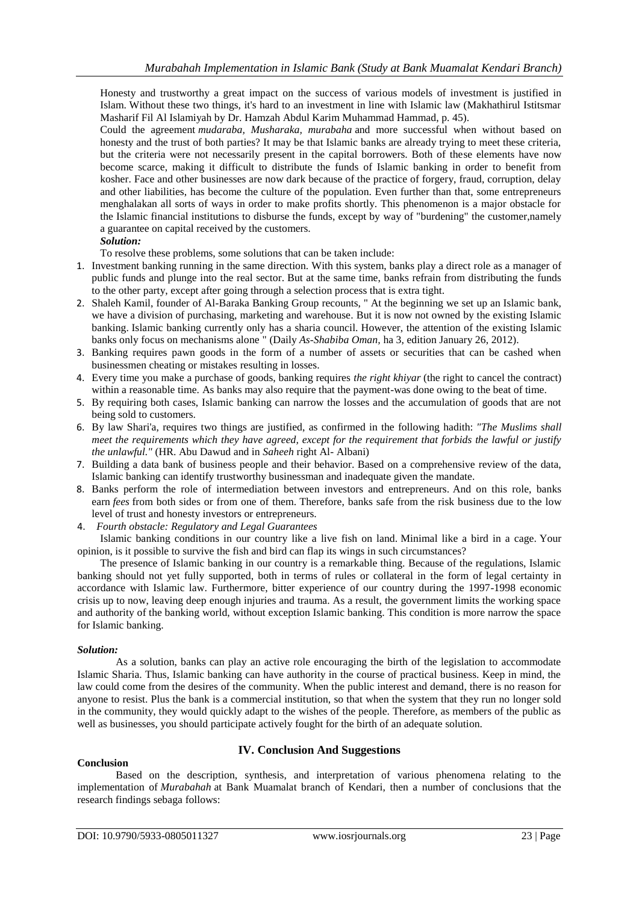Honesty and trustworthy a great impact on the success of various models of investment is justified in Islam. Without these two things, it's hard to an investment in line with Islamic law (Makhathirul Istitsmar Masharif Fil Al Islamiyah by Dr. Hamzah Abdul Karim Muhammad Hammad, p. 45).

Could the agreement *mudaraba, Musharaka, murabaha* and more successful when without based on honesty and the trust of both parties? It may be that Islamic banks are already trying to meet these criteria, but the criteria were not necessarily present in the capital borrowers. Both of these elements have now become scarce, making it difficult to distribute the funds of Islamic banking in order to benefit from kosher. Face and other businesses are now dark because of the practice of forgery, fraud, corruption, delay and other liabilities, has become the culture of the population. Even further than that, some entrepreneurs menghalakan all sorts of ways in order to make profits shortly. This phenomenon is a major obstacle for the Islamic financial institutions to disburse the funds, except by way of "burdening" the customer,namely a guarantee on capital received by the customers.

### *Solution:*

To resolve these problems, some solutions that can be taken include:

- 1. Investment banking running in the same direction. With this system, banks play a direct role as a manager of public funds and plunge into the real sector. But at the same time, banks refrain from distributing the funds to the other party, except after going through a selection process that is extra tight.
- 2. Shaleh Kamil, founder of Al-Baraka Banking Group recounts, " At the beginning we set up an Islamic bank, we have a division of purchasing, marketing and warehouse. But it is now not owned by the existing Islamic banking. Islamic banking currently only has a sharia council. However, the attention of the existing Islamic banks only focus on mechanisms alone " (Daily *As-Shabiba Oman,* ha 3, edition January 26, 2012).
- 3. Banking requires pawn goods in the form of a number of assets or securities that can be cashed when businessmen cheating or mistakes resulting in losses.
- 4. Every time you make a purchase of goods, banking requires *the right khiyar* (the right to cancel the contract) within a reasonable time. As banks may also require that the payment-was done owing to the beat of time.
- 5. By requiring both cases, Islamic banking can narrow the losses and the accumulation of goods that are not being sold to customers.
- 6. By law Shari'a, requires two things are justified, as confirmed in the following hadith: *"The Muslims shall meet the requirements which they have agreed, except for the requirement that forbids the lawful or justify the unlawful."* (HR. Abu Dawud and in *Saheeh* right Al- Albani)
- 7. Building a data bank of business people and their behavior. Based on a comprehensive review of the data, Islamic banking can identify trustworthy businessman and inadequate given the mandate.
- 8. Banks perform the role of intermediation between investors and entrepreneurs. And on this role, banks earn *fees* from both sides or from one of them. Therefore, banks safe from the risk business due to the low level of trust and honesty investors or entrepreneurs.
- 4. *Fourth obstacle: Regulatory and Legal Guarantees*

Islamic banking conditions in our country like a live fish on land. Minimal like a bird in a cage. Your opinion, is it possible to survive the fish and bird can flap its wings in such circumstances?

The presence of Islamic banking in our country is a remarkable thing. Because of the regulations, Islamic banking should not yet fully supported, both in terms of rules or collateral in the form of legal certainty in accordance with Islamic law. Furthermore, bitter experience of our country during the 1997-1998 economic crisis up to now, leaving deep enough injuries and trauma. As a result, the government limits the working space and authority of the banking world, without exception Islamic banking. This condition is more narrow the space for Islamic banking.

#### *Solution:*

As a solution, banks can play an active role encouraging the birth of the legislation to accommodate Islamic Sharia. Thus, Islamic banking can have authority in the course of practical business. Keep in mind, the law could come from the desires of the community. When the public interest and demand, there is no reason for anyone to resist. Plus the bank is a commercial institution, so that when the system that they run no longer sold in the community, they would quickly adapt to the wishes of the people. Therefore, as members of the public as well as businesses, you should participate actively fought for the birth of an adequate solution.

#### **Conclusion**

# **IV. Conclusion And Suggestions**

Based on the description, synthesis, and interpretation of various phenomena relating to the implementation of *Murabahah* at Bank Muamalat branch of Kendari, then a number of conclusions that the research findings sebaga follows: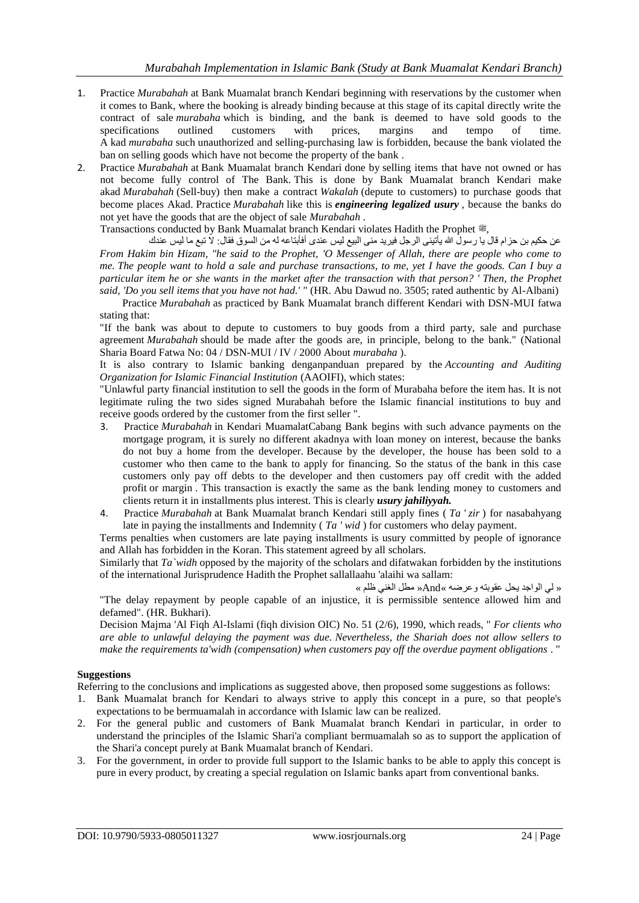- 1. Practice *Murabahah* at Bank Muamalat branch Kendari beginning with reservations by the customer when it comes to Bank, where the booking is already binding because at this stage of its capital directly write the contract of sale *murabaha* which is binding, and the bank is deemed to have sold goods to the specifications outlined customers with prices, margins and tempo of time. specifications outlined customers with prices, margins and tempo of time. A kad *murabaha* such unauthorized and selling-purchasing law is forbidden, because the bank violated the ban on selling goods which have not become the property of the bank .
- 2. Practice *Murabahah* at Bank Muamalat branch Kendari done by selling items that have not owned or has not become fully control of The Bank. This is done by Bank Muamalat branch Kendari make akad *Murabahah* (Sell-buy) then make a contract *Wakalah* (depute to customers) to purchase goods that become places Akad. Practice *Murabahah* like this is *engineering legalized usury* , because the banks do not yet have the goods that are the object of sale *Murabahah* .

Transactions conducted by Bank Muamalat branch Kendari violates Hadith the Prophet .

عن حكيم بن حزام قال يا رسول الله يأتيني الرجل فيريد منى البيع ليس عندى أفأبتاعه له من السوق فقال: لا تبع ما ليس عندك *From Hakim bin Hizam, "he said to the Prophet, 'O Messenger of Allah, there are people who come to me. The people want to hold a sale and purchase transactions, to me, yet I have the goods. Can I buy a particular item he or she wants in the market after the transaction with that person? ' Then, the Prophet said, 'Do you sell items that you have not had.' "* (HR. Abu Dawud no. 3505; rated authentic by Al-Albani)

Practice *Murabahah* as practiced by Bank Muamalat branch different Kendari with DSN-MUI fatwa stating that:

"If the bank was about to depute to customers to buy goods from a third party, sale and purchase agreement *Murabahah* should be made after the goods are, in principle, belong to the bank." (National Sharia Board Fatwa No: 04 / DSN-MUI / IV / 2000 About *murabaha* ).

It is also contrary to Islamic banking denganpanduan prepared by the *Accounting and Auditing Organization for Islamic Financial Institution* (AAOIFI), which states:

"Unlawful party financial institution to sell the goods in the form of Murabaha before the item has. It is not legitimate ruling the two sides signed Murabahah before the Islamic financial institutions to buy and receive goods ordered by the customer from the first seller ".

- 3. Practice *Murabahah* in Kendari MuamalatCabang Bank begins with such advance payments on the mortgage program, it is surely no different akadnya with loan money on interest, because the banks do not buy a home from the developer. Because by the developer, the house has been sold to a customer who then came to the bank to apply for financing. So the status of the bank in this case customers only pay off debts to the developer and then customers pay off credit with the added profit or margin . This transaction is exactly the same as the bank lending money to customers and clients return it in installments plus interest. This is clearly *usury jahiliyyah.*
- 4. Practice *Murabahah* at Bank Muamalat branch Kendari still apply fines ( *Ta ' zir* ) for nasabahyang late in paying the installments and Indemnity ( *Ta ' wid* ) for customers who delay payment.

Terms penalties when customers are late paying installments is usury committed by people of ignorance and Allah has forbidden in the Koran. This statement agreed by all scholars.

Similarly that *Ta`widh* opposed by the majority of the scholars and difatwakan forbidden by the institutions of the international Jurisprudence Hadith the Prophet sallallaahu 'alaihi wa sallam:

« لي الواجد يحل عقوبته وعرضه »And »مطل الغني ظلم »

"The delay repayment by people capable of an injustice, it is permissible sentence allowed him and defamed". (HR. Bukhari).

Decision Majma 'Al Fiqh Al-Islami (fiqh division OIC) No. 51 (2/6), 1990, which reads, " *For clients who are able to unlawful delaying the payment was due. Nevertheless, the Shariah does not allow sellers to make the requirements ta'widh (compensation) when customers pay off the overdue payment obligations* . "

# **Suggestions**

Referring to the conclusions and implications as suggested above, then proposed some suggestions as follows:

- 1. Bank Muamalat branch for Kendari to always strive to apply this concept in a pure, so that people's expectations to be bermuamalah in accordance with Islamic law can be realized.
- 2. For the general public and customers of Bank Muamalat branch Kendari in particular, in order to understand the principles of the Islamic Shari'a compliant bermuamalah so as to support the application of the Shari'a concept purely at Bank Muamalat branch of Kendari.
- 3. For the government, in order to provide full support to the Islamic banks to be able to apply this concept is pure in every product, by creating a special regulation on Islamic banks apart from conventional banks.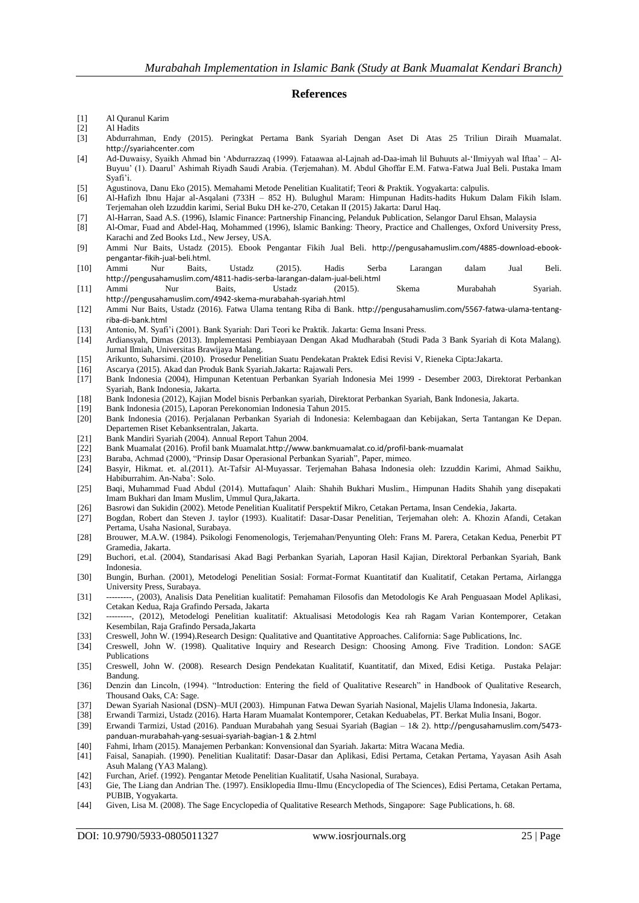### **References**

- [1] Al Quranul Karim
- [2] Al Hadits
- [3] Abdurrahman, Endy (2015). Peringkat Pertama Bank Syariah Dengan Aset Di Atas 25 Triliun Diraih Muamalat. [http://syariahcenter.com](http://syariahcenter.com/)
- [4] Ad-Duwaisy, Syaikh Ahmad bin 'Abdurrazzaq (1999). Fataawaa al-Lajnah ad-Daa-imah lil Buhuuts al-'Ilmiyyah wal Iftaa' Al-Buyuu' (1). Daarul' Ashimah Riyadh Saudi Arabia. (Terjemahan). M. Abdul Ghoffar E.M. Fatwa-Fatwa Jual Beli. Pustaka Imam Syafi'i.
- [5] Agustinova, Danu Eko (2015). Memahami Metode Penelitian Kualitatif; Teori & Praktik. Yogyakarta: calpulis.
- [6] Al-Hafizh Ibnu Hajar al-Asqalani (733H 852 H). Bulughul Maram: Himpunan Hadits-hadits Hukum Dalam Fikih Islam. Terjemahan oleh Izzuddin karimi, Serial Buku DH ke-270, Cetakan II (2015) Jakarta: Darul Haq.
- [7] Al-Harran, Saad A.S. (1996), Islamic Finance: Partnership Financing, Pelanduk Publication, Selangor Darul Ehsan, Malaysia
- [8] Al-Omar, Fuad and Abdel-Haq, Mohammed (1996), Islamic Banking: Theory, Practice and Challenges, Oxford University Press, Karachi and Zed Books Ltd., New Jersey, USA.
- [9] Ammi Nur Baits, Ustadz (2015). Ebook Pengantar Fikih Jual Beli. [http://pengusahamuslim.com/4885-download-ebook](http://pengusahamuslim.com/4885-download-ebook-pengantar-fikih-jual-beli.html)[pengantar-fikih-jual-beli.html](http://pengusahamuslim.com/4885-download-ebook-pengantar-fikih-jual-beli.html).
- [10] Ammi Nur Baits, Ustadz (2015). Hadis Serba Larangan dalam Jual Beli. <http://pengusahamuslim.com/4811-hadis-serba-larangan-dalam-jual-beli.html>
- [11] Ammi Nur Baits, Ustadz (2015). Skema Murabahah Syariah. <http://pengusahamuslim.com/4942-skema-murabahah-syariah.html>
- [12] Ammi Nur Baits, Ustadz (2016). Fatwa Ulama tentang Riba di Bank. [http://pengusahamuslim.com/5567-fatwa-ulama-tentang](http://pengusahamuslim.com/5567-fatwa-ulama-tentang-riba-di-bank.html)[riba-di-bank.html](http://pengusahamuslim.com/5567-fatwa-ulama-tentang-riba-di-bank.html)
- [13] Antonio, M. Syafi'i (2001). Bank Syariah: Dari Teori ke Praktik. Jakarta: Gema Insani Press.
- [14] Ardiansyah, Dimas (2013). Implementasi Pembiayaan Dengan Akad Mudharabah (Studi Pada 3 Bank Syariah di Kota Malang). Jurnal Ilmiah, Universitas Brawijaya Malang.
- [15] Arikunto, Suharsimi. (2010). Prosedur Penelitian Suatu Pendekatan Praktek Edisi Revisi V, Rieneka Cipta:Jakarta.
- [16] Ascarya (2015). Akad dan Produk Bank Syariah.Jakarta: Rajawali Pers.
- [17] Bank Indonesia (2004), Himpunan Ketentuan Perbankan Syariah Indonesia Mei 1999 Desember 2003, Direktorat Perbankan Syariah, Bank Indonesia, Jakarta.
- [18] Bank Indonesia (2012), Kajian Model bisnis Perbankan syariah, Direktorat Perbankan Syariah, Bank Indonesia, Jakarta.
- [19] Bank Indonesia (2015), Laporan Perekonomian Indonesia Tahun 2015.
- [20] Bank Indonesia (2016). Perjalanan Perbankan Syariah di Indonesia: Kelembagaan dan Kebijakan, Serta Tantangan Ke Depan. Departemen Riset Kebanksentralan, Jakarta.
- [21] Bank Mandiri Syariah (2004). Annual Report Tahun 2004.
- [22] Bank Muamalat (2016). Profil bank Muamalat.<http://www.bankmuamalat.co.id/profil-bank-muamalat>
- [23] Baraba, Achmad (2000), "Prinsip Dasar Operasional Perbankan Syariah", Paper, mimeo.
- [24] Basyir, Hikmat. et. al.(2011). At-Tafsir Al-Muyassar. Terjemahan Bahasa Indonesia oleh: Izzuddin Karimi, Ahmad Saikhu, Habiburrahim. An-Naba': Solo.
- [25] Baqi, Muhammad Fuad Abdul (2014). Muttafaqun' Alaih: Shahih Bukhari Muslim., Himpunan Hadits Shahih yang disepakati Imam Bukhari dan Imam Muslim, Ummul Qura,Jakarta.
- [26] Basrowi dan Sukidin (2002). Metode Penelitian Kualitatif Perspektif Mikro, Cetakan Pertama, Insan Cendekia, Jakarta.
- [27] Bogdan, Robert dan Steven J. taylor (1993). Kualitatif: Dasar-Dasar Penelitian, Terjemahan oleh: A. Khozin Afandi, Cetakan Pertama, Usaha Nasional, Surabaya.
- [28] Brouwer, M.A.W. (1984). Psikologi Fenomenologis, Terjemahan/Penyunting Oleh: Frans M. Parera, Cetakan Kedua, Penerbit PT Gramedia, Jakarta.
- [29] Buchori, et.al. (2004), Standarisasi Akad Bagi Perbankan Syariah, Laporan Hasil Kajian, Direktoral Perbankan Syariah, Bank Indonesia.
- [30] Bungin, Burhan. (2001), Metodelogi Penelitian Sosial: Format-Format Kuantitatif dan Kualitatif, Cetakan Pertama, Airlangga University Press, Surabaya.
- [31] ---------, (2003), Analisis Data Penelitian kualitatif: Pemahaman Filosofis dan Metodologis Ke Arah Penguasaan Model Aplikasi, Cetakan Kedua, Raja Grafindo Persada, Jakarta
- [32] ---------, (2012), Metodelogi Penelitian kualitatif: Aktualisasi Metodologis Kea rah Ragam Varian Kontemporer, Cetakan Kesembilan, Raja Grafindo Persada,Jakarta
- [33] Creswell, John W. (1994).Research Design: Qualitative and Quantitative Approaches. California: Sage Publications, Inc.
- [34] Creswell, John W. (1998). Qualitative Inquiry and Research Design: Choosing Among. Five Tradition. London: SAGE Publications
- [35] Creswell, John W. (2008). Research Design Pendekatan Kualitatif, Kuantitatif, dan Mixed, Edisi Ketiga. Pustaka Pelajar: Bandung.
- [36] Denzin dan Lincoln, (1994). "Introduction: Entering the field of Qualitative Research" in Handbook of Qualitative Research, Thousand Oaks, CA: Sage.
- [37] Dewan Syariah Nasional (DSN)–MUI (2003). Himpunan Fatwa Dewan Syariah Nasional, Majelis Ulama Indonesia, Jakarta.
- [38] Erwandi Tarmizi, Ustadz (2016). Harta Haram Muamalat Kontemporer, Cetakan Keduabelas, PT. Berkat Mulia Insani, Bogor.
- [39] Erwandi Tarmizi, Ustad (2016). Panduan Murabahah yang Sesuai Syariah (Bagian 1& 2). [http://pengusahamuslim.com/5473](http://pengusahamuslim.com/5473-panduan-murabahah-yang-sesuai-syariah-bagian-1%20&%202.html) [panduan-murabahah-yang-sesuai-syariah-bagian-1 & 2.html](http://pengusahamuslim.com/5473-panduan-murabahah-yang-sesuai-syariah-bagian-1%20&%202.html)
- [40] Fahmi, Irham (2015). Manajemen Perbankan: Konvensional dan Syariah. Jakarta: Mitra Wacana Media.
- [41] Faisal, Sanapiah. (1990). Penelitian Kualitatif: Dasar-Dasar dan Aplikasi, Edisi Pertama, Cetakan Pertama, Yayasan Asih Asah Asuh Malang (YA3 Malang).
- [42] Furchan, Arief. (1992). Pengantar Metode Penelitian Kualitatif, Usaha Nasional, Surabaya.
- [43] Gie, The Liang dan Andrian The. (1997). Ensiklopedia Ilmu-Ilmu (Encyclopedia of The Sciences), Edisi Pertama, Cetakan Pertama, PUBIB, Yogyakarta.
- [44] Given, Lisa M. (2008). The Sage Encyclopedia of Qualitative Research Methods, Singapore: Sage Publications, h. 68.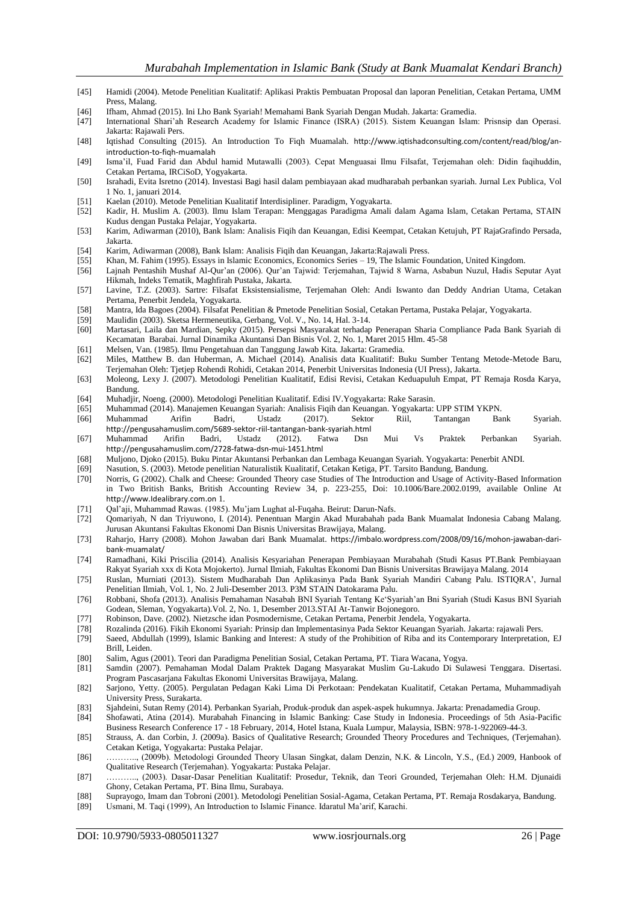- [45] Hamidi (2004). Metode Penelitian Kualitatif: Aplikasi Praktis Pembuatan Proposal dan laporan Penelitian, Cetakan Pertama, UMM Press, Malang.
- [46] Ifham, Ahmad (2015). Ini Lho Bank Syariah! Memahami Bank Syariah Dengan Mudah. Jakarta: Gramedia.
- [47] International Shari'ah Research Academy for Islamic Finance (ISRA) (2015). Sistem Keuangan Islam: Prisnsip dan Operasi. Jakarta: Rajawali Pers.
- [48] Iqtishad Consulting (2015). An Introduction To Fiqh Muamalah. [http://www.iqtishadconsulting.com/content/read/blog/an](http://www.iqtishadconsulting.com/content/read/blog/an-introduction-to-fiqh-muamalah)[introduction-to-fiqh-muamalah](http://www.iqtishadconsulting.com/content/read/blog/an-introduction-to-fiqh-muamalah)
- [49] Isma'il, Fuad Farid dan Abdul hamid Mutawalli (2003). Cepat Menguasai Ilmu Filsafat, Terjemahan oleh: Didin faqihuddin, Cetakan Pertama, IRCiSoD, Yogyakarta.
- [50] Israhadi, Evita Isretno (2014). Investasi Bagi hasil dalam pembiayaan akad mudharabah perbankan syariah. Jurnal Lex Publica, Vol 1 No. 1, januari 2014.
- [51] Kaelan (2010). Metode Penelitian Kualitatif Interdisipliner. Paradigm, Yogyakarta.
- Kadir, H. Muslim A. (2003). Ilmu Islam Terapan: Menggagas Paradigma Amali dalam Agama Islam, Cetakan Pertama, STAIN Kudus dengan Pustaka Pelajar, Yogyakarta.
- [53] Karim, Adiwarman (2010), Bank Islam: Analisis Fiqih dan Keuangan, Edisi Keempat, Cetakan Ketujuh, PT RajaGrafindo Persada, Jakarta.
- [54] Karim, Adiwarman (2008), Bank Islam: Analisis Fiqih dan Keuangan, Jakarta:Rajawali Press.
- [55] Khan, M. Fahim (1995). Essays in Islamic Economics, Economics Series 19, The Islamic Foundation, United Kingdom.
- [56] Lajnah Pentashih Mushaf Al-Qur'an (2006). Qur'an Tajwid: Terjemahan, Tajwid 8 Warna, Asbabun Nuzul, Hadis Seputar Ayat Hikmah, Indeks Tematik, Maghfirah Pustaka, Jakarta.
- [57] Lavine, T.Z. (2003). Sartre: Filsafat Eksistensialisme, Terjemahan Oleh: Andi Iswanto dan Deddy Andrian Utama, Cetakan Pertama, Penerbit Jendela, Yogyakarta.
- [58] Mantra, Ida Bagoes (2004). Filsafat Penelitian & Pmetode Penelitian Sosial, Cetakan Pertama, Pustaka Pelajar, Yogyakarta.
- Maulidin (2003). Sketsa Hermeneutika, Gerbang, Vol. V., No. 14, Hal. 3-14.
- [60] Martasari, Laila dan Mardian, Sepky (2015). Persepsi Masyarakat terhadap Penerapan Sharia Compliance Pada Bank Syariah di Kecamatan Barabai. Jurnal Dinamika Akuntansi Dan Bisnis Vol. 2, No. 1, Maret 2015 Hlm. 45-58
- [61] Melsen, Van. (1985). Ilmu Pengetahuan dan Tanggung Jawab Kita. Jakarta: Gramedia.
- [62] Miles, Matthew B. dan Huberman, A. Michael (2014). Analisis data Kualitatif: Buku Sumber Tentang Metode-Metode Baru, Terjemahan Oleh: Tjetjep Rohendi Rohidi, Cetakan 2014, Penerbit Universitas Indonesia (UI Press), Jakarta.
- [63] Moleong, Lexy J. (2007). Metodologi Penelitian Kualitatif, Edisi Revisi, Cetakan Keduapuluh Empat, PT Remaja Rosda Karya, Bandung.
- [64] Muhadjir, Noeng. (2000). Metodologi Penelitian Kualitatif. Edisi IV.Yogyakarta: Rake Sarasin.
- [65] Muhammad (2014). Manajemen Keuangan Syariah: Analisis Fiqih dan Keuangan. Yogyakarta: UPP STIM YKPN.
- [66] Muhammad Arifin Badri, Ustadz (2017). Sektor Riil, Tantangan Bank Syariah. <http://pengusahamuslim.com/5689-sektor-riil-tantangan-bank-syariah.html>
- [67] Muhammad Arifin Badri, Ustadz (2012). Fatwa Dsn Mui Vs Praktek Perbankan Syariah. <http://pengusahamuslim.com/2728-fatwa-dsn-mui-1451.html>
- [68] Muljono, Djoko (2015). Buku Pintar Akuntansi Perbankan dan Lembaga Keuangan Syariah. Yogyakarta: Penerbit ANDI.
- [69] Nasution, S. (2003). Metode penelitian Naturalistik Kualitatif, Cetakan Ketiga, PT. Tarsito Bandung, Bandung.
- Norris, G (2002). Chalk and Cheese: Grounded Theory case Studies of The Introduction and Usage of Activity-Based Information in Two British Banks, British Accounting Review 34, p. 223-255, Doi: 10.1006/Bare.2002.0199, available Online At [http://www.Idealibrary.com.on](http://www.idealibrary.com.on/) 1.
- [71] Qal'aji, Muhammad Rawas. (1985). Mu'jam Lughat al-Fuqaha. Beirut: Darun-Nafs.
- [72] Qomariyah, N dan Triyuwono, I. (2014). Penentuan Margin Akad Murabahah pada Bank Muamalat Indonesia Cabang Malang. Jurusan Akuntansi Fakultas Ekonomi Dan Bisnis Universitas Brawijaya, Malang.
- [73] Raharjo, Harry (2008). Mohon Jawaban dari Bank Muamalat. [https://imbalo.wordpress.com/2008/09/16/mohon-jawaban-dari](https://imbalo.wordpress.com/2008/09/16/mohon-jawaban-dari-bank-muamalat/)[bank-muamalat/](https://imbalo.wordpress.com/2008/09/16/mohon-jawaban-dari-bank-muamalat/)
- [74] Ramadhani, Kiki Priscilia (2014). Analisis Kesyariahan Penerapan Pembiayaan Murabahah (Studi Kasus PT.Bank Pembiayaan Rakyat Syariah xxx di Kota Mojokerto). Jurnal Ilmiah, Fakultas Ekonomi Dan Bisnis Universitas Brawijaya Malang. 2014
- [75] Ruslan, Murniati (2013). Sistem Mudharabah Dan Aplikasinya Pada Bank Syariah Mandiri Cabang Palu. ISTIQRA', Jurnal Penelitian Ilmiah, Vol. 1, No. 2 Juli-Desember 2013. P3M STAIN Datokarama Palu.
- [76] Robbani, Shofa (2013). Analisis Pemahaman Nasabah BNI Syariah Tentang Ke'Syariah'an Bni Syariah (Studi Kasus BNI Syariah Godean, Sleman, Yogyakarta).Vol. 2, No. 1, Desember 2013.STAI At-Tanwir Bojonegoro.
- [77] Robinson, Dave. (2002). Nietzsche idan Posmodernisme, Cetakan Pertama, Penerbit Jendela, Yogyakarta.
- [78] Rozalinda (2016). Fikih Ekonomi Syariah: Prinsip dan Implementasinya Pada Sektor Keuangan Syariah. Jakarta: rajawali Pers. Saeed, Abdullah (1999), Islamic Banking and Interest: A study of the Prohibition of Riba and its Contemporary Interpretation, EJ
- Brill, Leiden.
- [80] Salim, Agus (2001). Teori dan Paradigma Penelitian Sosial, Cetakan Pertama, PT. Tiara Wacana, Yogya.
- [81] Samdin (2007). Pemahaman Modal Dalam Praktek Dagang Masyarakat Muslim Gu-Lakudo Di Sulawesi Tenggara. Disertasi. Program Pascasarjana Fakultas Ekonomi Universitas Brawijaya, Malang.
- [82] Sarjono, Yetty. (2005). Pergulatan Pedagan Kaki Lima Di Perkotaan: Pendekatan Kualitatif, Cetakan Pertama, Muhammadiyah University Press, Surakarta.
- [83] Sjahdeini, Sutan Remy (2014). Perbankan Syariah, Produk-produk dan aspek-aspek hukumnya. Jakarta: Prenadamedia Group.
- [84] Shofawati, Atina (2014). Murabahah Financing in Islamic Banking: Case Study in Indonesia. Proceedings of 5th Asia-Pacific Business Research Conference 17 - 18 February, 2014, Hotel Istana, Kuala Lumpur, Malaysia, ISBN: 978-1-922069-44-3.
- [85] Strauss, A. dan Corbin, J. (2009a). Basics of Qualitative Research; Grounded Theory Procedures and Techniques, (Terjemahan). Cetakan Ketiga, Yogyakarta: Pustaka Pelajar.
- [86] ……….., (2009b). Metodologi Grounded Theory Ulasan Singkat, dalam Denzin, N.K. & Lincoln, Y.S., (Ed.) 2009, Hanbook of Qualitative Research (Terjemahan). Yogyakarta: Pustaka Pelajar.
- [87] ……….., (2003). Dasar-Dasar Penelitian Kualitatif: Prosedur, Teknik, dan Teori Grounded, Terjemahan Oleh: H.M. Djunaidi Ghony, Cetakan Pertama, PT. Bina Ilmu, Surabaya.
- [88] Suprayogo, Imam dan Tobroni (2001). Metodologi Penelitian Sosial-Agama, Cetakan Pertama, PT. Remaja Rosdakarya, Bandung.
- [89] Usmani, M. Taqi (1999), An Introduction to Islamic Finance. Idaratul Ma'arif, Karachi.